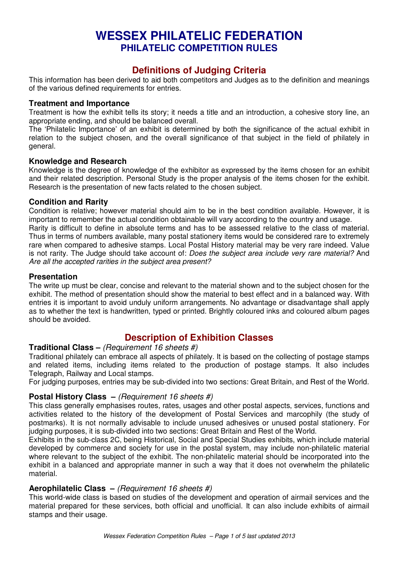# **WESSEX PHILATELIC FEDERATION PHILATELIC COMPETITION RULES**

# **Definitions of Judging Criteria**

This information has been derived to aid both competitors and Judges as to the definition and meanings of the various defined requirements for entries.

### **Treatment and Importance**

Treatment is how the exhibit tells its story; it needs a title and an introduction, a cohesive story line, an appropriate ending, and should be balanced overall.

The 'Philatelic Importance' of an exhibit is determined by both the significance of the actual exhibit in relation to the subject chosen, and the overall significance of that subject in the field of philately in general.

### **Knowledge and Research**

Knowledge is the degree of knowledge of the exhibitor as expressed by the items chosen for an exhibit and their related description. Personal Study is the proper analysis of the items chosen for the exhibit. Research is the presentation of new facts related to the chosen subject.

### **Condition and Rarity**

Condition is relative; however material should aim to be in the best condition available. However, it is important to remember the actual condition obtainable will vary according to the country and usage. Rarity is difficult to define in absolute terms and has to be assessed relative to the class of material. Thus in terms of numbers available, many postal stationery items would be considered rare to extremely rare when compared to adhesive stamps. Local Postal History material may be very rare indeed. Value is not rarity. The Judge should take account of: *Does the subject area include very rare material?* And

*Are all the accepted rarities in the subject area present?*

## **Presentation**

The write up must be clear, concise and relevant to the material shown and to the subject chosen for the exhibit. The method of presentation should show the material to best effect and in a balanced way. With entries it is important to avoid unduly uniform arrangements. No advantage or disadvantage shall apply as to whether the text is handwritten, typed or printed. Brightly coloured inks and coloured album pages should be avoided.

# **Description of Exhibition Classes**

### **Traditional Class –** *(Requirement 16 sheets #)*

Traditional philately can embrace all aspects of philately. It is based on the collecting of postage stamps and related items, including items related to the production of postage stamps. It also includes Telegraph, Railway and Local stamps.

For judging purposes, entries may be sub-divided into two sections: Great Britain, and Rest of the World.

#### **Postal History Class –** *(Requirement 16 sheets #)*

This class generally emphasises routes, rates, usages and other postal aspects, services, functions and activities related to the history of the development of Postal Services and marcophily (the study of postmarks). It is not normally advisable to include unused adhesives or unused postal stationery. For judging purposes, it is sub-divided into two sections: Great Britain and Rest of the World.

Exhibits in the sub-class 2C, being Historical, Social and Special Studies exhibits, which include material developed by commerce and society for use in the postal system, may include non-philatelic material where relevant to the subject of the exhibit. The non-philatelic material should be incorporated into the exhibit in a balanced and appropriate manner in such a way that it does not overwhelm the philatelic material.

## **Aerophilatelic Class –** *(Requirement 16 sheets #)*

This world-wide class is based on studies of the development and operation of airmail services and the material prepared for these services, both official and unofficial. It can also include exhibits of airmail stamps and their usage.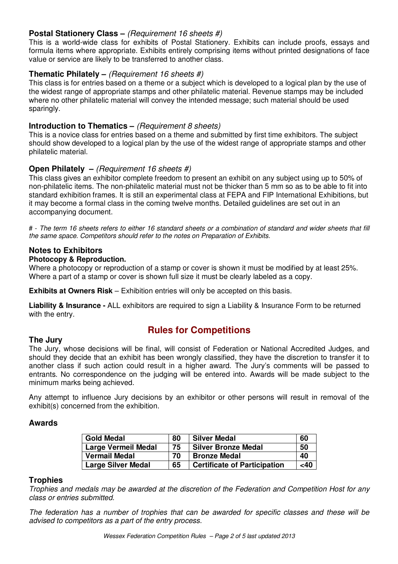## **Postal Stationery Class –** *(Requirement 16 sheets #)*

This is a world-wide class for exhibits of Postal Stationery. Exhibits can include proofs, essays and formula items where appropriate. Exhibits entirely comprising items without printed designations of face value or service are likely to be transferred to another class.

## **Thematic Philately –** *(Requirement 16 sheets #)*

This class is for entries based on a theme or a subject which is developed to a logical plan by the use of the widest range of appropriate stamps and other philatelic material. Revenue stamps may be included where no other philatelic material will convey the intended message; such material should be used sparingly.

## **Introduction to Thematics –** *(Requirement 8 sheets)*

This is a novice class for entries based on a theme and submitted by first time exhibitors. The subject should show developed to a logical plan by the use of the widest range of appropriate stamps and other philatelic material.

## **Open Philately –** *(Requirement 16 sheets #)*

This class gives an exhibitor complete freedom to present an exhibit on any subject using up to 50% of non-philatelic items. The non-philatelic material must not be thicker than 5 mm so as to be able to fit into standard exhibition frames. It is still an experimental class at FEPA and FIP International Exhibitions, but it may become a formal class in the coming twelve months. Detailed guidelines are set out in an accompanying document.

# - The term 16 sheets refers to either 16 standard sheets or a combination of standard and wider sheets that fill *the same space. Competitors should refer to the notes on Preparation of Exhibits.*

### **Notes to Exhibitors**

#### **Photocopy & Reproduction.**

Where a photocopy or reproduction of a stamp or cover is shown it must be modified by at least 25%. Where a part of a stamp or cover is shown full size it must be clearly labeled as a copy.

**Exhibits at Owners Risk** – Exhibition entries will only be accepted on this basis.

**Liability & Insurance -** ALL exhibitors are required to sign a Liability & Insurance Form to be returned with the entry.

# **Rules for Competitions**

# **The Jury**

The Jury, whose decisions will be final, will consist of Federation or National Accredited Judges, and should they decide that an exhibit has been wrongly classified, they have the discretion to transfer it to another class if such action could result in a higher award. The Jury's comments will be passed to entrants. No correspondence on the judging will be entered into. Awards will be made subject to the minimum marks being achieved.

Any attempt to influence Jury decisions by an exhibitor or other persons will result in removal of the exhibit(s) concerned from the exhibition.

## **Awards**

| <b>Gold Medal</b>          | 80 | <b>Silver Medal</b>                 | 60     |
|----------------------------|----|-------------------------------------|--------|
| <b>Large Vermeil Medal</b> | 75 | <b>Silver Bronze Medal</b>          | 50     |
| <b>Vermail Medal</b>       | 70 | <b>Bronze Medal</b>                 | 40     |
| <b>Large Silver Medal</b>  | 65 | <b>Certificate of Participation</b> | $<$ 40 |

#### **Trophies**

*Trophies and medals may be awarded at the discretion of the Federation and Competition Host for any class or entries submitted.*

*The federation has a number of trophies that can be awarded for specific classes and these will be advised to competitors as a part of the entry process.*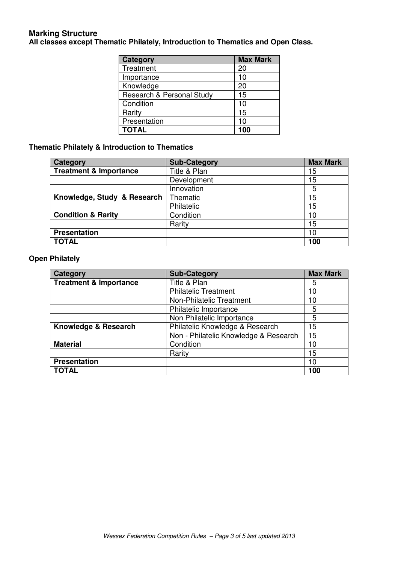## **Marking Structure All classes except Thematic Philately, Introduction to Thematics and Open Class.**

| <b>Category</b>           | <b>Max Mark</b> |
|---------------------------|-----------------|
| Treatment                 | 20              |
| Importance                | 10              |
| Knowledge                 | 20              |
| Research & Personal Study | 15              |
| Condition                 | 10              |
| Rarity                    | 15              |
| Presentation              | 10              |
| <b>TOTAL</b>              | 100             |

### **Thematic Philately & Introduction to Thematics**

| <b>Category</b>                   | <b>Sub-Category</b> | <b>Max Mark</b> |
|-----------------------------------|---------------------|-----------------|
| <b>Treatment &amp; Importance</b> | Title & Plan        | 15              |
|                                   | Development         | 15              |
|                                   | Innovation          | 5               |
| Knowledge, Study & Research       | Thematic            | 15              |
|                                   | Philatelic          | 15              |
| <b>Condition &amp; Rarity</b>     | Condition           | 10              |
|                                   | Rarity              | 15              |
| <b>Presentation</b>               |                     | 10              |
| <b>TOTAL</b>                      |                     | 100             |

## **Open Philately**

| Category                          | <b>Sub-Category</b>                   | <b>Max Mark</b> |
|-----------------------------------|---------------------------------------|-----------------|
| <b>Treatment &amp; Importance</b> | Title & Plan                          | 5               |
|                                   | <b>Philatelic Treatment</b>           | 10              |
|                                   | Non-Philatelic Treatment              | 10              |
|                                   | Philatelic Importance                 | 5               |
|                                   | Non Philatelic Importance             | 5               |
| Knowledge & Research              | Philatelic Knowledge & Research       | 15              |
|                                   | Non - Philatelic Knowledge & Research | 15              |
| <b>Material</b>                   | Condition                             | 10              |
|                                   | Rarity                                | 15              |
| <b>Presentation</b>               |                                       | 10              |
| <b>TOTAL</b>                      |                                       | 100             |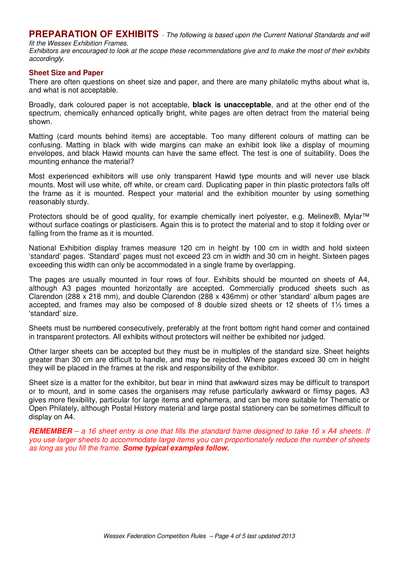**PREPARATION OF EXHIBITS** *- The following is based upon the Current National Standards and will fit the Wessex Exhibition Frames.*

Exhibitors are encouraged to look at the scope these recommendations give and to make the most of their exhibits *accordingly.*

#### **Sheet Size and Paper**

There are often questions on sheet size and paper, and there are many philatelic myths about what is, and what is not acceptable.

Broadly, dark coloured paper is not acceptable, **black is unacceptable**, and at the other end of the spectrum, chemically enhanced optically bright, white pages are often detract from the material being shown.

Matting (card mounts behind items) are acceptable. Too many different colours of matting can be confusing. Matting in black with wide margins can make an exhibit look like a display of mourning envelopes, and black Hawid mounts can have the same effect. The test is one of suitability. Does the mounting enhance the material?

Most experienced exhibitors will use only transparent Hawid type mounts and will never use black mounts. Most will use white, off white, or cream card. Duplicating paper in thin plastic protectors falls off the frame as it is mounted. Respect your material and the exhibition mounter by using something reasonably sturdy.

Protectors should be of good quality, for example chemically inert polyester, e.g. Melinex®, Mylar™ without surface coatings or plasticisers. Again this is to protect the material and to stop it folding over or falling from the frame as it is mounted.

National Exhibition display frames measure 120 cm in height by 100 cm in width and hold sixteen 'standard' pages. 'Standard' pages must not exceed 23 cm in width and 30 cm in height. Sixteen pages exceeding this width can only be accommodated in a single frame by overlapping.

The pages are usually mounted in four rows of four. Exhibits should be mounted on sheets of A4, although A3 pages mounted horizontally are accepted. Commercially produced sheets such as Clarendon (288 x 218 mm), and double Clarendon (288 x 436mm) or other 'standard' album pages are accepted, and frames may also be composed of 8 double sized sheets or 12 sheets of  $1\frac{1}{3}$  times a 'standard' size.

Sheets must be numbered consecutively, preferably at the front bottom right hand corner and contained in transparent protectors. All exhibits without protectors will neither be exhibited nor judged.

Other larger sheets can be accepted but they must be in multiples of the standard size. Sheet heights greater than 30 cm are difficult to handle, and may be rejected. Where pages exceed 30 cm in height they will be placed in the frames at the risk and responsibility of the exhibitor.

Sheet size is a matter for the exhibitor, but bear in mind that awkward sizes may be difficult to transport or to mount, and in some cases the organisers may refuse particularly awkward or flimsy pages. A3 gives more flexibility, particular for large items and ephemera, and can be more suitable for Thematic or Open Philately, although Postal History material and large postal stationery can be sometimes difficult to display on A4.

**REMEMBER** – a 16 sheet entry is one that fills the standard frame designed to take 16 x A4 sheets. If *you use larger sheets to accommodate large items you can proportionately reduce the number of sheets as long as you fill the frame. Some typical examples follow.*